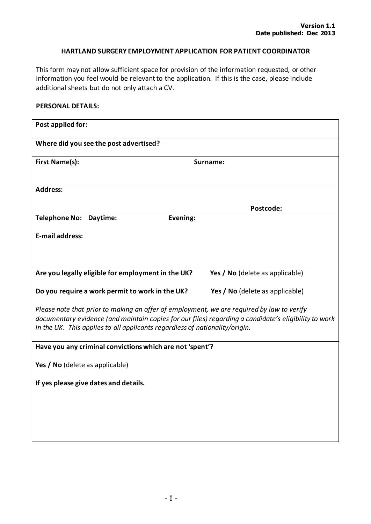### **HARTLAND SURGERY EMPLOYMENT APPLICATION FOR PATIENT COORDINATOR**

This form may not allow sufficient space for provision of the information requested, or other information you feel would be relevant to the application. If this is the case, please include additional sheets but do not only attach a CV.

### **PERSONAL DETAILS:**

| Post applied for:                                                                                                                                                                                                                                                                |                                 |
|----------------------------------------------------------------------------------------------------------------------------------------------------------------------------------------------------------------------------------------------------------------------------------|---------------------------------|
| Where did you see the post advertised?                                                                                                                                                                                                                                           |                                 |
| <b>First Name(s):</b>                                                                                                                                                                                                                                                            | Surname:                        |
| <b>Address:</b>                                                                                                                                                                                                                                                                  |                                 |
|                                                                                                                                                                                                                                                                                  | Postcode:                       |
| Evening:<br>Telephone No: Daytime:                                                                                                                                                                                                                                               |                                 |
| <b>E-mail address:</b>                                                                                                                                                                                                                                                           |                                 |
|                                                                                                                                                                                                                                                                                  |                                 |
| Are you legally eligible for employment in the UK?                                                                                                                                                                                                                               | Yes / No (delete as applicable) |
| Do you require a work permit to work in the UK?                                                                                                                                                                                                                                  | Yes / No (delete as applicable) |
| Please note that prior to making an offer of employment, we are required by law to verify<br>documentary evidence (and maintain copies for our files) regarding a candidate's eligibility to work<br>in the UK. This applies to all applicants regardless of nationality/origin. |                                 |
| Have you any criminal convictions which are not 'spent'?                                                                                                                                                                                                                         |                                 |
| Yes / No (delete as applicable)                                                                                                                                                                                                                                                  |                                 |
| If yes please give dates and details.                                                                                                                                                                                                                                            |                                 |
|                                                                                                                                                                                                                                                                                  |                                 |
|                                                                                                                                                                                                                                                                                  |                                 |
|                                                                                                                                                                                                                                                                                  |                                 |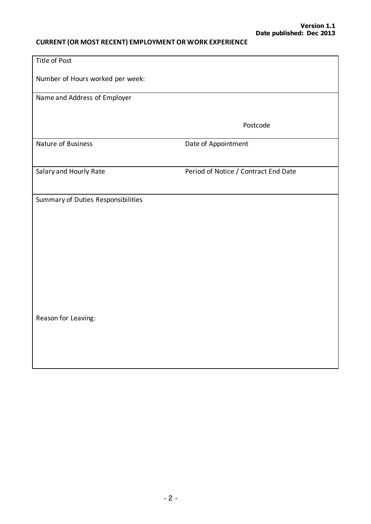# **CURRENT (OR MOST RECENT) EMPLOYMENT OR WORK EXPERIENCE**

| Title of Post                      |                                      |
|------------------------------------|--------------------------------------|
| Number of Hours worked per week:   |                                      |
| Name and Address of Employer       |                                      |
|                                    | Postcode                             |
| Nature of Business                 | Date of Appointment                  |
|                                    |                                      |
| Salary and Hourly Rate             | Period of Notice / Contract End Date |
| Summary of Duties Responsibilities |                                      |
| Reason for Leaving:                |                                      |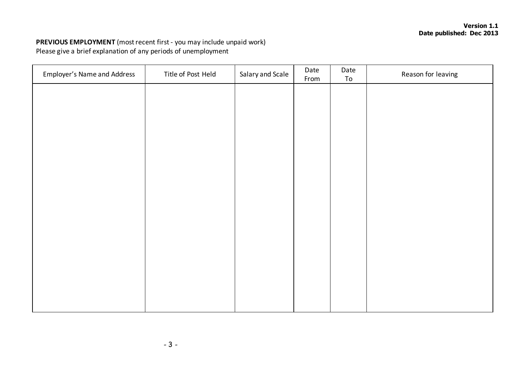## **PREVIOUS EMPLOYMENT** (most recent first - you may include unpaid work) Please give a brief explanation of any periods of unemployment

| <b>Employer's Name and Address</b> | Title of Post Held | Salary and Scale | Date<br>From | Date<br>To | Reason for leaving |
|------------------------------------|--------------------|------------------|--------------|------------|--------------------|
|                                    |                    |                  |              |            |                    |
|                                    |                    |                  |              |            |                    |
|                                    |                    |                  |              |            |                    |
|                                    |                    |                  |              |            |                    |
|                                    |                    |                  |              |            |                    |
|                                    |                    |                  |              |            |                    |
|                                    |                    |                  |              |            |                    |
|                                    |                    |                  |              |            |                    |
|                                    |                    |                  |              |            |                    |
|                                    |                    |                  |              |            |                    |
|                                    |                    |                  |              |            |                    |
|                                    |                    |                  |              |            |                    |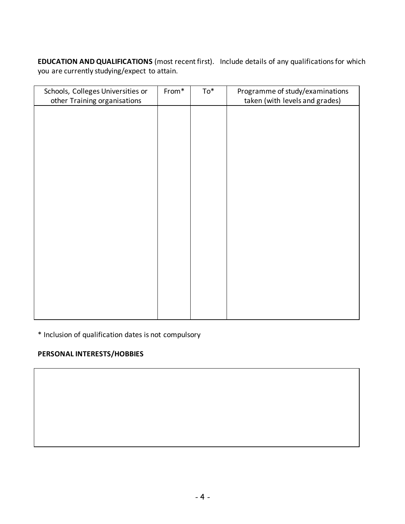**EDUCATION AND QUALIFICATIONS** (most recent first). Include details of any qualifications for which you are currently studying/expect to attain.

| Schools, Colleges Universities or | From* | $To^*$ | Programme of study/examinations |
|-----------------------------------|-------|--------|---------------------------------|
| other Training organisations      |       |        | taken (with levels and grades)  |
|                                   |       |        |                                 |
|                                   |       |        |                                 |
|                                   |       |        |                                 |
|                                   |       |        |                                 |
|                                   |       |        |                                 |
|                                   |       |        |                                 |
|                                   |       |        |                                 |
|                                   |       |        |                                 |
|                                   |       |        |                                 |
|                                   |       |        |                                 |
|                                   |       |        |                                 |
|                                   |       |        |                                 |
|                                   |       |        |                                 |
|                                   |       |        |                                 |
|                                   |       |        |                                 |
|                                   |       |        |                                 |
|                                   |       |        |                                 |
|                                   |       |        |                                 |
|                                   |       |        |                                 |
|                                   |       |        |                                 |
|                                   |       |        |                                 |
|                                   |       |        |                                 |
|                                   |       |        |                                 |
|                                   |       |        |                                 |

\* Inclusion of qualification dates is not compulsory

# **PERSONAL INTERESTS/HOBBIES**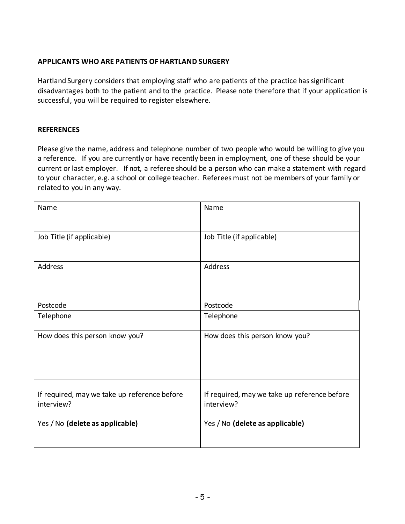### **APPLICANTS WHO ARE PATIENTS OF HARTLAND SURGERY**

Hartland Surgery considers that employing staff who are patients of the practice has significant disadvantages both to the patient and to the practice. Please note therefore that if your application is successful, you will be required to register elsewhere.

### **REFERENCES**

Please give the name, address and telephone number of two people who would be willing to give you a reference. If you are currently or have recently been in employment, one of these should be your current or last employer. If not, a referee should be a person who can make a statement with regard to your character, e.g. a school or college teacher. Referees must not be members of your family or related to you in any way.

| Name                                                       | Name                                                       |
|------------------------------------------------------------|------------------------------------------------------------|
| Job Title (if applicable)                                  | Job Title (if applicable)                                  |
| Address                                                    | Address                                                    |
| Postcode                                                   | Postcode                                                   |
| Telephone                                                  | Telephone                                                  |
| How does this person know you?                             | How does this person know you?                             |
| If required, may we take up reference before<br>interview? | If required, may we take up reference before<br>interview? |
| Yes / No (delete as applicable)                            | Yes / No (delete as applicable)                            |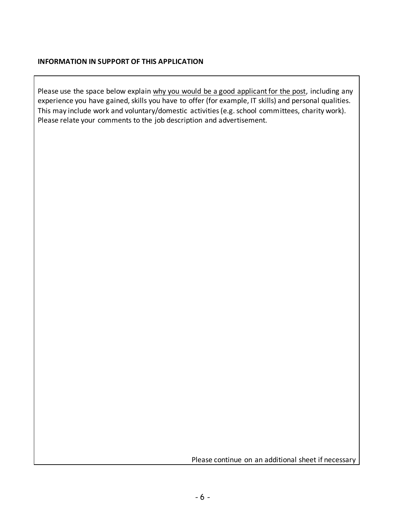#### **INFORMATION IN SUPPORT OF THIS APPLICATION**

Please use the space below explain why you would be a good applicant for the post, including any experience you have gained, skills you have to offer (for example, IT skills) and personal qualities. This may include work and voluntary/domestic activities (e.g. school committees, charity work). Please relate your comments to the job description and advertisement.

Please continue on an additional sheet if necessary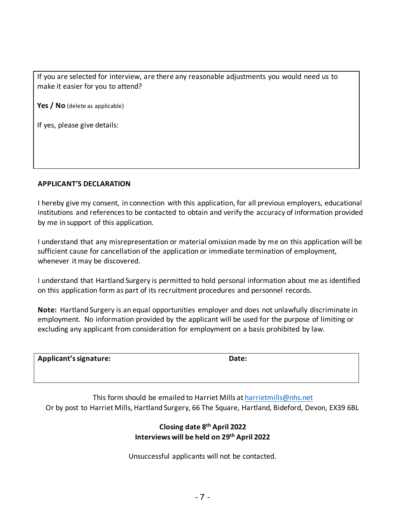If you are selected for interview, are there any reasonable adjustments you would need us to make it easier for you to attend?

Yes / No (delete as applicable)

If yes, please give details:

#### **APPLICANT'S DECLARATION**

I hereby give my consent, in connection with this application, for all previous employers, educational institutions and references to be contacted to obtain and verify the accuracy of information provided by me in support of this application.

I understand that any misrepresentation or material omission made by me on this application will be sufficient cause for cancellation of the application or immediate termination of employment, whenever it may be discovered.

I understand that Hartland Surgery is permitted to hold personal information about me as identified on this application form as part of its recruitment procedures and personnel records.

**Note:** Hartland Surgery is an equal opportunities employer and does not unlawfully discriminate in employment. No information provided by the applicant will be used for the purpose of limiting or excluding any applicant from consideration for employment on a basis prohibited by law.

| Applicant's signature: | Date: |
|------------------------|-------|
|------------------------|-------|

This form should be emailed to Harriet Mills at harrietmills@nhs.net Or by post to Harriet Mills, Hartland Surgery, 66 The Square, Hartland, Bideford, Devon, EX39 6BL

### **Closing date 8th April 2022 Interviews will be held on 29 th April 2022**

Unsuccessful applicants will not be contacted.